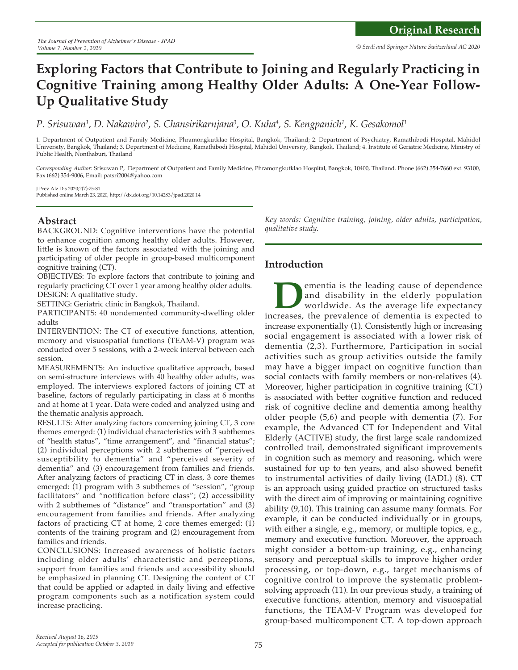# **Exploring Factors that Contribute to Joining and Regularly Practicing in Cognitive Training among Healthy Older Adults: A One-Year Follow-Up Qualitative Study**

*P. Srisuwan1 , D. Nakawiro2 , S. Chansirikarnjana3 , O. Kuha4 , S. Kengpanich1 , K. Gesakomol1*

1. Department of Outpatient and Family Medicine, Phramongkutklao Hospital, Bangkok, Thailand; 2. Department of Psychiatry, Ramathibodi Hospital, Mahidol University, Bangkok, Thailand; 3. Department of Medicine, Ramathibodi Hospital, Mahidol University, Bangkok, Thailand; 4. Institute of Geriatric Medicine, Ministry of Public Health, Nonthaburi, Thailand

*Corresponding Author:* Srisuwan P, Department of Outpatient and Family Medicine, Phramongkutklao Hospital, Bangkok, 10400, Thailand. Phone (662) 354-7660 ext. 93100, Fax (662) 354-9006, Email: patsri2004@yahoo.com

J Prev Alz Dis 2020;2(7):75-81 Published online March 23, 2020, http://dx.doi.org/10.14283/jpad.2020.14

# **Abstract**

BACKGROUND: Cognitive interventions have the potential to enhance cognition among healthy older adults. However, little is known of the factors associated with the joining and participating of older people in group-based multicomponent cognitive training (CT).

OBJECTIVES: To explore factors that contribute to joining and regularly practicing CT over 1 year among healthy older adults. DESIGN: A qualitative study.

SETTING: Geriatric clinic in Bangkok, Thailand.

PARTICIPANTS: 40 nondemented community-dwelling older adults

INTERVENTION: The CT of executive functions, attention, memory and visuospatial functions (TEAM-V) program was conducted over 5 sessions, with a 2-week interval between each session.

MEASUREMENTS: An inductive qualitative approach, based on semi-structure interviews with 40 healthy older adults, was employed. The interviews explored factors of joining CT at baseline, factors of regularly participating in class at 6 months and at home at 1 year. Data were coded and analyzed using and the thematic analysis approach.

RESULTS: After analyzing factors concerning joining CT, 3 core themes emerged: (1) individual characteristics with 3 subthemes of "health status", "time arrangement", and "financial status"; (2) individual perceptions with 2 subthemes of "perceived susceptibility to dementia" and "perceived severity of dementia" and (3) encouragement from families and friends. After analyzing factors of practicing CT in class, 3 core themes emerged: (1) program with 3 subthemes of "session", "group facilitators" and "notification before class"; (2) accessibility with 2 subthemes of "distance" and "transportation" and (3) encouragement from families and friends. After analyzing factors of practicing CT at home, 2 core themes emerged: (1) contents of the training program and (2) encouragement from families and friends.

CONCLUSIONS: Increased awareness of holistic factors including older adults' characteristic and perceptions, support from families and friends and accessibility should be emphasized in planning CT. Designing the content of CT that could be applied or adapted in daily living and effective program components such as a notification system could increase practicing.

*Key words: Cognitive training, joining, older adults, participation, qualitative study.*

### **Introduction**

**Dementia** is the leading cause of dependence and disability in the elderly population worldwide. As the average life expectancy increases, the prevalence of dementia is expected to and disability in the elderly population worldwide. As the average life expectancy increase exponentially (1). Consistently high or increasing social engagement is associated with a lower risk of dementia (2,3). Furthermore, Participation in social activities such as group activities outside the family may have a bigger impact on cognitive function than social contacts with family members or non-relatives (4). Moreover, higher participation in cognitive training (CT) is associated with better cognitive function and reduced risk of cognitive decline and dementia among healthy older people (5,6) and people with dementia (7). For example, the Advanced CT for Independent and Vital Elderly (ACTIVE) study, the first large scale randomized controlled trail, demonstrated significant improvements in cognition such as memory and reasoning, which were sustained for up to ten years, and also showed benefit to instrumental activities of daily living (IADL) (8). CT is an approach using guided practice on structured tasks with the direct aim of improving or maintaining cognitive ability (9,10). This training can assume many formats. For example, it can be conducted individually or in groups, with either a single, e.g., memory, or multiple topics, e.g., memory and executive function. Moreover, the approach might consider a bottom-up training, e.g., enhancing sensory and perceptual skills to improve higher order processing, or top-down, e.g., target mechanisms of cognitive control to improve the systematic problemsolving approach (11). In our previous study, a training of executive functions, attention, memory and visuospatial functions, the TEAM-V Program was developed for group-based multicomponent CT. A top-down approach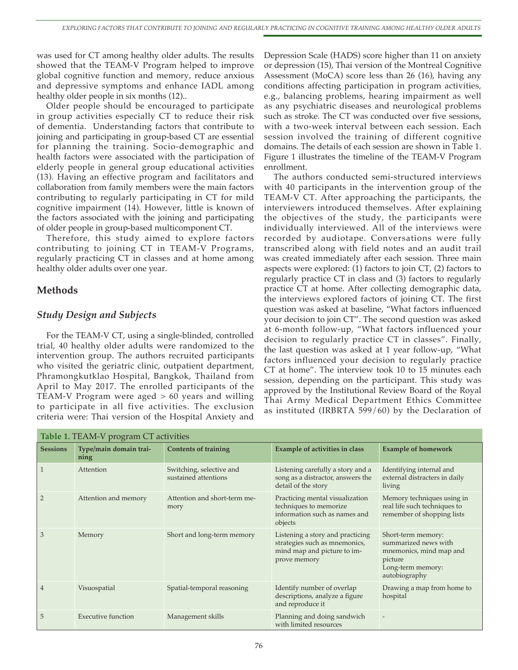was used for CT among healthy older adults. The results showed that the TEAM-V Program helped to improve global cognitive function and memory, reduce anxious and depressive symptoms and enhance IADL among healthy older people in six months (12)..

Older people should be encouraged to participate in group activities especially CT to reduce their risk of dementia. Understanding factors that contribute to joining and participating in group-based CT are essential for planning the training. Socio-demographic and health factors were associated with the participation of elderly people in general group educational activities (13). Having an effective program and facilitators and collaboration from family members were the main factors contributing to regularly participating in CT for mild cognitive impairment (14). However, little is known of the factors associated with the joining and participating of older people in group-based multicomponent CT.

Therefore, this study aimed to explore factors contributing to joining CT in TEAM-V Programs, regularly practicing CT in classes and at home among healthy older adults over one year.

### **Methods**

## *Study Design and Subjects*

For the TEAM-V CT, using a single-blinded, controlled trial, 40 healthy older adults were randomized to the intervention group. The authors recruited participants who visited the geriatric clinic, outpatient department, Phramongkutklao Hospital, Bangkok, Thailand from April to May 2017. The enrolled participants of the TEAM-V Program were aged > 60 years and willing to participate in all five activities. The exclusion criteria were: Thai version of the Hospital Anxiety and

Depression Scale (HADS) score higher than 11 on anxiety or depression (15), Thai version of the Montreal Cognitive Assessment (MoCA) score less than 26 (16), having any conditions affecting participation in program activities, e.g., balancing problems, hearing impairment as well as any psychiatric diseases and neurological problems such as stroke. The CT was conducted over five sessions, with a two-week interval between each session. Each session involved the training of different cognitive domains. The details of each session are shown in Table 1. Figure 1 illustrates the timeline of the TEAM-V Program enrollment.

The authors conducted semi-structured interviews with 40 participants in the intervention group of the TEAM-V CT. After approaching the participants, the interviewers introduced themselves. After explaining the objectives of the study, the participants were individually interviewed. All of the interviews were recorded by audiotape. Conversations were fully transcribed along with field notes and an audit trail was created immediately after each session. Three main aspects were explored: (1) factors to join CT, (2) factors to regularly practice CT in class and (3) factors to regularly practice CT at home. After collecting demographic data, the interviews explored factors of joining CT. The first question was asked at baseline, "What factors influenced your decision to join CT". The second question was asked at 6-month follow-up, "What factors influenced your decision to regularly practice CT in classes". Finally, the last question was asked at 1 year follow-up, "What factors influenced your decision to regularly practice CT at home". The interview took 10 to 15 minutes each session, depending on the participant. This study was approved by the Institutional Review Board of the Royal Thai Army Medical Department Ethics Committee as instituted (IRBRTA 599/60) by the Declaration of

| Table 1. TEAM-V program CT activities |                                |                                                  |                                                                                                                  |                                                                                                                        |  |  |  |
|---------------------------------------|--------------------------------|--------------------------------------------------|------------------------------------------------------------------------------------------------------------------|------------------------------------------------------------------------------------------------------------------------|--|--|--|
| <b>Sessions</b>                       | Type/main domain trai-<br>ning | <b>Contents of training</b>                      | Example of activities in class                                                                                   | <b>Example of homework</b>                                                                                             |  |  |  |
|                                       | Attention                      | Switching, selective and<br>sustained attentions | Listening carefully a story and a<br>song as a distractor, answers the<br>detail of the story                    | Identifying internal and<br>external distracters in daily<br>living                                                    |  |  |  |
| $\overline{2}$                        | Attention and memory           | Attention and short-term me-<br>mory             | Practicing mental visualization<br>techniques to memorize<br>information such as names and<br>objects            | Memory techniques using in<br>real life such techniques to<br>remember of shopping lists                               |  |  |  |
| 3                                     | Memory                         | Short and long-term memory                       | Listening a story and practicing<br>strategies such as mnemonics,<br>mind map and picture to im-<br>prove memory | Short-term memory:<br>summarized news with<br>mnemonics, mind map and<br>picture<br>Long-term memory:<br>autobiography |  |  |  |
| 4                                     | Visuospatial                   | Spatial-temporal reasoning                       | Identify number of overlap<br>descriptions, analyze a figure<br>and reproduce it                                 | Drawing a map from home to<br>hospital                                                                                 |  |  |  |
| 5                                     | <b>Executive function</b>      | Management skills                                | Planning and doing sandwich<br>with limited resources                                                            |                                                                                                                        |  |  |  |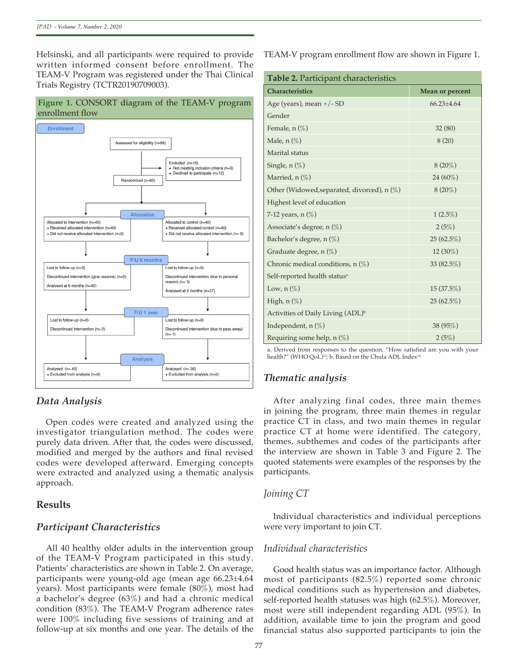Helsinski, and all participants were required to provide written informed consent before enrollment. The TEAM-V Program was registered under the Thai Clinical Trials Registry (TCTR20190709003).

### **Figure 1.** CONSORT diagram of the TEAM-V program enrollment flow



# *Data Analysis*

Open codes were created and analyzed using the investigator triangulation method. The codes were purely data driven. After that, the codes were discussed, modified and merged by the authors and final revised codes were developed afterward. Emerging concepts were extracted and analyzed using a thematic analysis approach.

### **Results**

### *Participant Characteristics*

All 40 healthy older adults in the intervention group of the TEAM-V Program participated in this study. Patients' characteristics are shown in Table 2. On average, participants were young-old age (mean age 66.23±4.64 years). Most participants were female (80%), most had a bachelor's degree (63%) and had a chronic medical condition (83%). The TEAM-V Program adherence rates were 100% including five sessions of training and at follow-up at six months and one year. The details of the TEAM-V program enrollment flow are shown in Figure 1.

| Table 2. Participant characteristics          |                  |  |  |  |
|-----------------------------------------------|------------------|--|--|--|
| <b>Characteristics</b>                        | Mean or percent  |  |  |  |
| Age (years), mean +/- SD                      | $66.23 \pm 4.64$ |  |  |  |
| Gender                                        |                  |  |  |  |
| Female, $n$ (%)                               | 32(80)           |  |  |  |
| Male, $n(\%)$                                 | 8(20)            |  |  |  |
| Marital status                                |                  |  |  |  |
| Single, $n$ $(\%)$                            | $8(20\%)$        |  |  |  |
| Married, $n(\%)$                              | 24 (60%)         |  |  |  |
| Other (Widowed, separated, divorced), $n(\%)$ | $8(20\%)$        |  |  |  |
| Highest level of education                    |                  |  |  |  |
| 7-12 years, $n$ $(\%)$                        | $1(2.5\%)$       |  |  |  |
| Associate's degree, n (%)                     | 2(5%)            |  |  |  |
| Bachelor's degree, $n(\%)$                    | 25(62.5%)        |  |  |  |
| Graduate degree, n (%)                        | 12 (30%)         |  |  |  |
| Chronic medical conditions, $n(\%)$           | 33 (82.5%)       |  |  |  |
| Self-reported health status <sup>a</sup>      |                  |  |  |  |
| Low, $n(\%)$                                  | 15(37.5%)        |  |  |  |
| High, $n$ $(\%)$                              | 25(62.5%)        |  |  |  |
| Activities of Daily Living (ADL) <sup>b</sup> |                  |  |  |  |
| Independent, n (%)                            | 38 (95%)         |  |  |  |
| Requiring some help, $n$ (%)                  | 2(5%)            |  |  |  |

a. Derived from responses to the question, "How satisfied are you with your health?" (WHO QoL<sup>)13</sup>; b. Based on the Chula ADL Index<sup>14</sup>

# *Thematic analysis*

After analyzing final codes, three main themes in joining the program, three main themes in regular practice CT in class, and two main themes in regular practice CT at home were identified. The category, themes, subthemes and codes of the participants after the interview are shown in Table 3 and Figure 2. The quoted statements were examples of the responses by the participants.

# *Joining CT*

Individual characteristics and individual perceptions were very important to join CT.

### *Individual characteristics*

Good health status was an importance factor. Although most of participants (82.5%) reported some chronic medical conditions such as hypertension and diabetes, self-reported health statuses was high (62.5%). Moreover, most were still independent regarding ADL (95%). In addition, available time to join the program and good financial status also supported participants to join the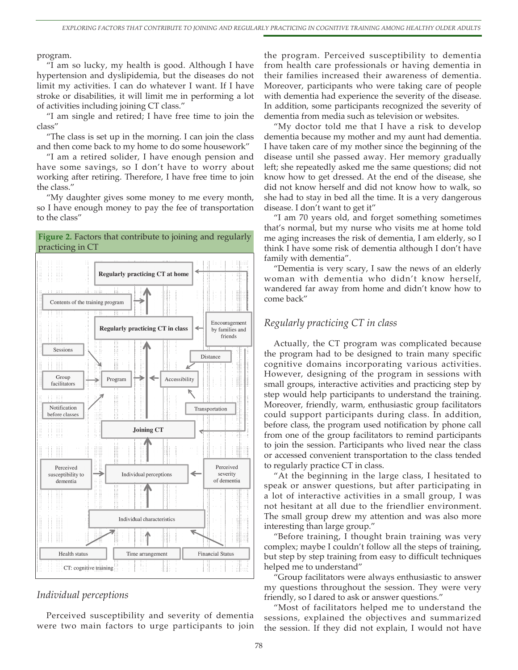program.

"I am so lucky, my health is good. Although I have hypertension and dyslipidemia, but the diseases do not limit my activities. I can do whatever I want. If I have stroke or disabilities, it will limit me in performing a lot of activities including joining CT class."

"I am single and retired; I have free time to join the class"

"The class is set up in the morning. I can join the class and then come back to my home to do some housework"

"I am a retired solider, I have enough pension and have some savings, so I don't have to worry about working after retiring. Therefore, I have free time to join the class."

"My daughter gives some money to me every month, so I have enough money to pay the fee of transportation to the class"

#### **Figure 2.** Factors that contribute to joining and regularly practicing in CT



### *Individual perceptions*

Perceived susceptibility and severity of dementia were two main factors to urge participants to join the program. Perceived susceptibility to dementia from health care professionals or having dementia in their families increased their awareness of dementia. Moreover, participants who were taking care of people with dementia had experience the severity of the disease. In addition, some participants recognized the severity of dementia from media such as television or websites.

"My doctor told me that I have a risk to develop dementia because my mother and my aunt had dementia. I have taken care of my mother since the beginning of the disease until she passed away. Her memory gradually left; she repeatedly asked me the same questions; did not know how to get dressed. At the end of the disease, she did not know herself and did not know how to walk, so she had to stay in bed all the time. It is a very dangerous disease. I don't want to get it"

"I am 70 years old, and forget something sometimes that's normal, but my nurse who visits me at home told me aging increases the risk of dementia, I am elderly, so I think I have some risk of dementia although I don't have family with dementia".

"Dementia is very scary, I saw the news of an elderly woman with dementia who didn't know herself, wandered far away from home and didn't know how to come back"

#### *Regularly practicing CT in class*

Actually, the CT program was complicated because the program had to be designed to train many specific cognitive domains incorporating various activities. However, designing of the program in sessions with small groups, interactive activities and practicing step by step would help participants to understand the training. Moreover, friendly, warm, enthusiastic group facilitators could support participants during class. In addition, before class, the program used notification by phone call from one of the group facilitators to remind participants to join the session. Participants who lived near the class or accessed convenient transportation to the class tended to regularly practice CT in class.

"At the beginning in the large class, I hesitated to speak or answer questions, but after participating in a lot of interactive activities in a small group, I was not hesitant at all due to the friendlier environment. The small group drew my attention and was also more interesting than large group."

"Before training, I thought brain training was very complex; maybe I couldn't follow all the steps of training, but step by step training from easy to difficult techniques helped me to understand"

"Group facilitators were always enthusiastic to answer my questions throughout the session. They were very friendly, so I dared to ask or answer questions."

"Most of facilitators helped me to understand the sessions, explained the objectives and summarized the session. If they did not explain, I would not have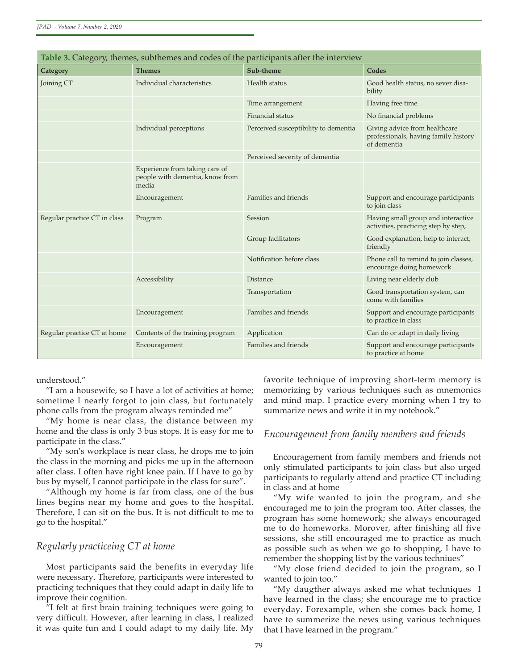| Category                     | <b>Themes</b>                                                              | Sub-theme                            | Codes                                                                                |
|------------------------------|----------------------------------------------------------------------------|--------------------------------------|--------------------------------------------------------------------------------------|
| Joining CT                   | Individual characteristics                                                 | Health status                        | Good health status, no sever disa-<br>bility                                         |
|                              |                                                                            | Time arrangement                     | Having free time                                                                     |
|                              |                                                                            | Financial status                     | No financial problems                                                                |
|                              | Individual perceptions                                                     | Perceived susceptibility to dementia | Giving advice from healthcare<br>professionals, having family history<br>of dementia |
|                              |                                                                            | Perceived severity of dementia       |                                                                                      |
|                              | Experience from taking care of<br>people with dementia, know from<br>media |                                      |                                                                                      |
|                              | Encouragement                                                              | Families and friends                 | Support and encourage participants<br>to join class                                  |
| Regular practice CT in class | Program                                                                    | Session                              | Having small group and interactive<br>activities, practicing step by step,           |
|                              |                                                                            | Group facilitators                   | Good explanation, help to interact,<br>friendly                                      |
|                              |                                                                            | Notification before class            | Phone call to remind to join classes,<br>encourage doing homework                    |
|                              | Accessibility                                                              | <b>Distance</b>                      | Living near elderly club                                                             |
|                              |                                                                            | Transportation                       | Good transportation system, can<br>come with families                                |
|                              | Encouragement                                                              | Families and friends                 | Support and encourage participants<br>to practice in class                           |
| Regular practice CT at home  | Contents of the training program                                           | Application                          | Can do or adapt in daily living                                                      |
|                              | Encouragement                                                              | Families and friends                 | Support and encourage participants<br>to practice at home                            |

understood."

"I am a housewife, so I have a lot of activities at home; sometime I nearly forgot to join class, but fortunately phone calls from the program always reminded me"

"My home is near class, the distance between my home and the class is only 3 bus stops. It is easy for me to participate in the class."

"My son's workplace is near class, he drops me to join the class in the morning and picks me up in the afternoon after class. I often have right knee pain. If I have to go by bus by myself, I cannot participate in the class for sure".

"Although my home is far from class, one of the bus lines begins near my home and goes to the hospital. Therefore, I can sit on the bus. It is not difficult to me to go to the hospital."

#### *Regularly practiceing CT at home*

Most participants said the benefits in everyday life were necessary. Therefore, participants were interested to practicing techniques that they could adapt in daily life to improve their cognition.

"I felt at first brain training techniques were going to very difficult. However, after learning in class, I realized it was quite fun and I could adapt to my daily life. My favorite technique of improving short-term memory is memorizing by various techniques such as mnemonics and mind map. I practice every morning when I try to summarize news and write it in my notebook."

#### *Encouragement from family members and friends*

Encouragement from family members and friends not only stimulated participants to join class but also urged participants to regularly attend and practice CT including in class and at home

"My wife wanted to join the program, and she encouraged me to join the program too. After classes, the program has some homework; she always encouraged me to do homeworks. Morover, after finishing all five sessions, she still encouraged me to practice as much as possible such as when we go to shopping, I have to remember the shopping list by the various techniues"

"My close friend decided to join the program, so I wanted to join too."

"My daugther always asked me what techniques I have learned in the class; she encourage me to practice everyday. Forexample, when she comes back home, I have to summerize the news using various techniques that I have learned in the program."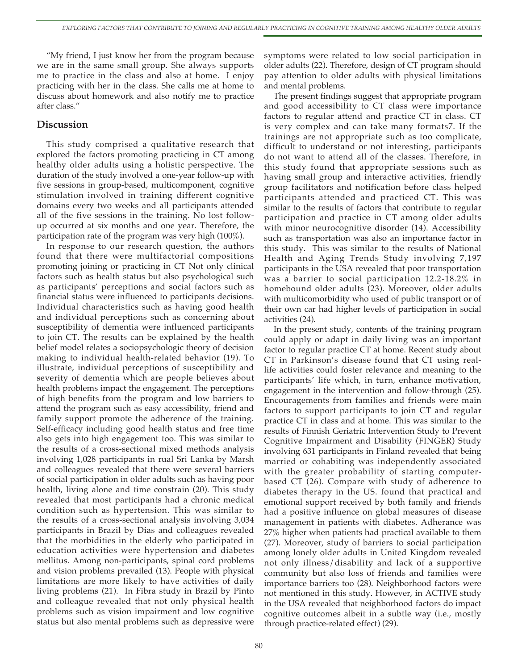"My friend, I just know her from the program because we are in the same small group. She always supports me to practice in the class and also at home. I enjoy practicing with her in the class. She calls me at home to discuss about homework and also notify me to practice after class."

#### **Discussion**

This study comprised a qualitative research that explored the factors promoting practicing in CT among healthy older adults using a holistic perspective. The duration of the study involved a one-year follow-up with five sessions in group-based, multicomponent, cognitive stimulation involved in training different cognitive domains every two weeks and all participants attended all of the five sessions in the training. No lost followup occurred at six months and one year. Therefore, the participation rate of the program was very high (100%).

In response to our research question, the authors found that there were multifactorial compositions promoting joining or practicing in CT Not only clinical factors such as health status but also psychological such as participants' perceptions and social factors such as financial status were influenced to participants decisions. Individual characteristics such as having good health and individual perceptions such as concerning about susceptibility of dementia were influenced participants to join CT. The results can be explained by the health belief model relates a sociopsychologic theory of decision making to individual health-related behavior (19). To illustrate, individual perceptions of susceptibility and severity of dementia which are people believes about health problems impact the engagement. The perceptions of high benefits from the program and low barriers to attend the program such as easy accessibility, friend and family support promote the adherence of the training. Self-efficacy including good health status and free time also gets into high engagement too. This was similar to the results of a cross-sectional mixed methods analysis involving 1,028 participants in rual Sri Lanka by Marsh and colleagues revealed that there were several barriers of social participation in older adults such as having poor health, living alone and time constrain (20). This study revealed that most participants had a chronic medical condition such as hypertension. This was similar to the results of a cross-sectional analysis involving 3,034 participants in Brazil by Dias and colleagues revealed that the morbidities in the elderly who participated in education activities were hypertension and diabetes mellitus. Among non-participants, spinal cord problems and vision problems prevailed (13). People with physical limitations are more likely to have activities of daily living problems (21). In Fibra study in Brazil by Pinto and colleague revealed that not only physical health problems such as vision impairment and low cognitive status but also mental problems such as depressive were

symptoms were related to low social participation in older adults (22). Therefore, design of CT program should pay attention to older adults with physical limitations and mental problems.

The present findings suggest that appropriate program and good accessibility to CT class were importance factors to regular attend and practice CT in class. CT is very complex and can take many formats7. If the trainings are not appropriate such as too complicate, difficult to understand or not interesting, participants do not want to attend all of the classes. Therefore, in this study found that appropriate sessions such as having small group and interactive activities, friendly group facilitators and notification before class helped participants attended and practiced CT. This was similar to the results of factors that contribute to regular participation and practice in CT among older adults with minor neurocognitive disorder (14). Accessibility such as transportation was also an importance factor in this study. This was similar to the results of National Health and Aging Trends Study involving 7,197 participants in the USA revealed that poor transportation was a barrier to social participation 12.2-18.2% in homebound older adults (23). Moreover, older adults with multicomorbidity who used of public transport or of their own car had higher levels of participation in social activities (24).

In the present study, contents of the training program could apply or adapt in daily living was an important factor to regular practice CT at home. Recent study about CT in Parkinson's disease found that CT using reallife activities could foster relevance and meaning to the participants' life which, in turn, enhance motivation, engagement in the intervention and follow-through (25). Encouragements from families and friends were main factors to support participants to join CT and regular practice CT in class and at home. This was similar to the results of Finnish Geriatric Intervention Study to Prevent Cognitive Impairment and Disability (FINGER) Study involving 631 participants in Finland revealed that being married or cohabiting was independently associated with the greater probability of starting computerbased CT (26). Compare with study of adherence to diabetes therapy in the US. found that practical and emotional support received by both family and friends had a positive influence on global measures of disease management in patients with diabetes. Adherance was 27% higher when patients had practical available to them (27). Moreover, study of barriers to social participation among lonely older adults in United Kingdom revealed not only illness/disability and lack of a supportive community but also loss of friends and families were importance barriers too (28). Neighborhood factors were not mentioned in this study. However, in ACTIVE study in the USA revealed that neighborhood factors do impact cognitive outcomes albeit in a subtle way (i.e., mostly through practice-related effect) (29).